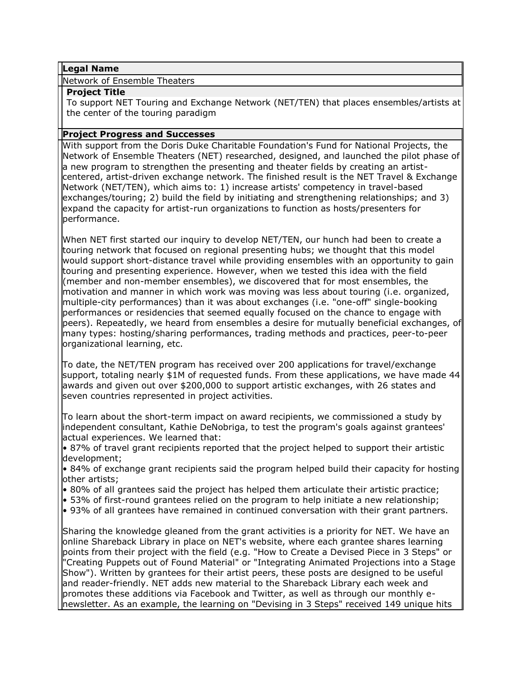### **Legal Name**

Network of Ensemble Theaters

#### **Project Title**

To support NET Touring and Exchange Network (NET/TEN) that places ensembles/artists at the center of the touring paradigm

### **Project Progress and Successes**

With support from the Doris Duke Charitable Foundation's Fund for National Projects, the Network of Ensemble Theaters (NET) researched, designed, and launched the pilot phase of a new program to strengthen the presenting and theater fields by creating an artistcentered, artist-driven exchange network. The finished result is the NET Travel & Exchange Network (NET/TEN), which aims to: 1) increase artists' competency in travel-based exchanges/touring; 2) build the field by initiating and strengthening relationships; and 3) expand the capacity for artist-run organizations to function as hosts/presenters for performance.

When NET first started our inquiry to develop NET/TEN, our hunch had been to create a touring network that focused on regional presenting hubs; we thought that this model would support short-distance travel while providing ensembles with an opportunity to gain touring and presenting experience. However, when we tested this idea with the field (member and non-member ensembles), we discovered that for most ensembles, the motivation and manner in which work was moving was less about touring (i.e. organized, multiple-city performances) than it was about exchanges (i.e. "one-off" single-booking performances or residencies that seemed equally focused on the chance to engage with peers). Repeatedly, we heard from ensembles a desire for mutually beneficial exchanges, of many types: hosting/sharing performances, trading methods and practices, peer-to-peer organizational learning, etc.

To date, the NET/TEN program has received over 200 applications for travel/exchange support, totaling nearly \$1M of requested funds. From these applications, we have made 44 awards and given out over \$200,000 to support artistic exchanges, with 26 states and seven countries represented in project activities.

To learn about the short-term impact on award recipients, we commissioned a study by independent consultant, Kathie DeNobriga, to test the program's goals against grantees' actual experiences. We learned that:

• 87% of travel grant recipients reported that the project helped to support their artistic development;

• 84% of exchange grant recipients said the program helped build their capacity for hosting other artists;

- 80% of all grantees said the project has helped them articulate their artistic practice;
- 53% of first-round grantees relied on the program to help initiate a new relationship;
- 93% of all grantees have remained in continued conversation with their grant partners.

Sharing the knowledge gleaned from the grant activities is a priority for NET. We have an online Shareback Library in place on NET's website, where each grantee shares learning points from their project with the field (e.g. "How to Create a Devised Piece in 3 Steps" or "Creating Puppets out of Found Material" or "Integrating Animated Projections into a Stage Show"). Written by grantees for their artist peers, these posts are designed to be useful and reader-friendly. NET adds new material to the Shareback Library each week and promotes these additions via Facebook and Twitter, as well as through our monthly enewsletter. As an example, the learning on "Devising in 3 Steps" received 149 unique hits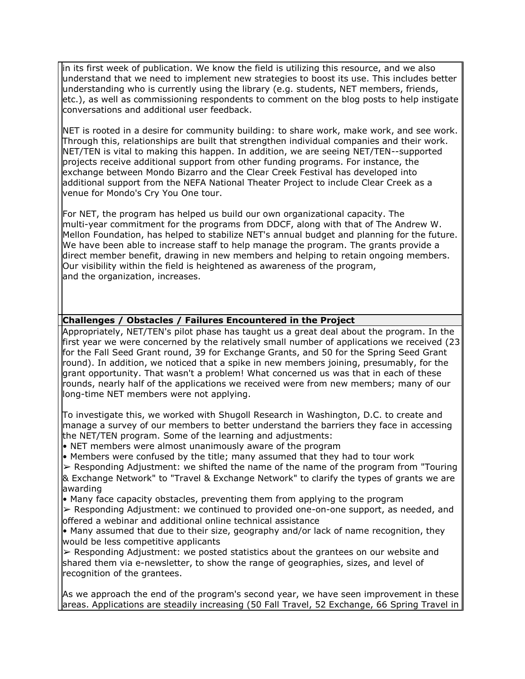in its first week of publication. We know the field is utilizing this resource, and we also understand that we need to implement new strategies to boost its use. This includes better understanding who is currently using the library (e.g. students, NET members, friends, etc.), as well as commissioning respondents to comment on the blog posts to help instigate conversations and additional user feedback.

NET is rooted in a desire for community building: to share work, make work, and see work. Through this, relationships are built that strengthen individual companies and their work. NET/TEN is vital to making this happen. In addition, we are seeing NET/TEN--supported projects receive additional support from other funding programs. For instance, the exchange between Mondo Bizarro and the Clear Creek Festival has developed into additional support from the NEFA National Theater Project to include Clear Creek as a venue for Mondo's Cry You One tour.

For NET, the program has helped us build our own organizational capacity. The multi-year commitment for the programs from DDCF, along with that of The Andrew W. Mellon Foundation, has helped to stabilize NET's annual budget and planning for the future. We have been able to increase staff to help manage the program. The grants provide a direct member benefit, drawing in new members and helping to retain ongoing members. Our visibility within the field is heightened as awareness of the program, and the organization, increases.

# **Challenges / Obstacles / Failures Encountered in the Project**

Appropriately, NET/TEN's pilot phase has taught us a great deal about the program. In the first year we were concerned by the relatively small number of applications we received (23 for the Fall Seed Grant round, 39 for Exchange Grants, and 50 for the Spring Seed Grant round). In addition, we noticed that a spike in new members joining, presumably, for the grant opportunity. That wasn't a problem! What concerned us was that in each of these rounds, nearly half of the applications we received were from new members; many of our long-time NET members were not applying.

To investigate this, we worked with Shugoll Research in Washington, D.C. to create and manage a survey of our members to better understand the barriers they face in accessing the NET/TEN program. Some of the learning and adjustments:

• NET members were almost unanimously aware of the program

• Members were confused by the title; many assumed that they had to tour work

 $\triangleright$  Responding Adjustment: we shifted the name of the name of the program from "Touring & Exchange Network" to "Travel & Exchange Network" to clarify the types of grants we are

awarding • Many face capacity obstacles, preventing them from applying to the program

➢ Responding Adjustment: we continued to provided one-on-one support, as needed, and offered a webinar and additional online technical assistance

• Many assumed that due to their size, geography and/or lack of name recognition, they would be less competitive applicants

 $\geq$  Responding Adjustment: we posted statistics about the grantees on our website and shared them via e-newsletter, to show the range of geographies, sizes, and level of recognition of the grantees.

As we approach the end of the program's second year, we have seen improvement in these areas. Applications are steadily increasing (50 Fall Travel, 52 Exchange, 66 Spring Travel in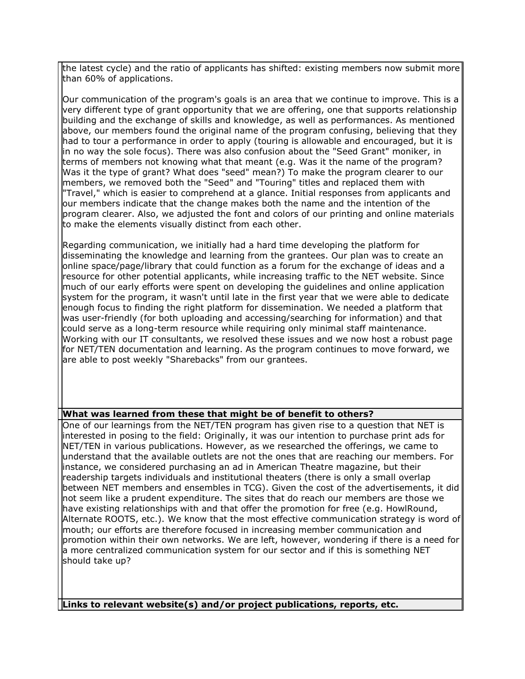the latest cycle) and the ratio of applicants has shifted: existing members now submit more than 60% of applications.

Our communication of the program's goals is an area that we continue to improve. This is a very different type of grant opportunity that we are offering, one that supports relationship building and the exchange of skills and knowledge, as well as performances. As mentioned above, our members found the original name of the program confusing, believing that they had to tour a performance in order to apply (touring is allowable and encouraged, but it is in no way the sole focus). There was also confusion about the "Seed Grant" moniker, in terms of members not knowing what that meant (e.g. Was it the name of the program? Was it the type of grant? What does "seed" mean?) To make the program clearer to our members, we removed both the "Seed" and "Touring" titles and replaced them with "Travel," which is easier to comprehend at a glance. Initial responses from applicants and our members indicate that the change makes both the name and the intention of the program clearer. Also, we adjusted the font and colors of our printing and online materials to make the elements visually distinct from each other.

Regarding communication, we initially had a hard time developing the platform for disseminating the knowledge and learning from the grantees. Our plan was to create an online space/page/library that could function as a forum for the exchange of ideas and a resource for other potential applicants, while increasing traffic to the NET website. Since much of our early efforts were spent on developing the guidelines and online application system for the program, it wasn't until late in the first year that we were able to dedicate enough focus to finding the right platform for dissemination. We needed a platform that was user-friendly (for both uploading and accessing/searching for information) and that could serve as a long-term resource while requiring only minimal staff maintenance. Working with our IT consultants, we resolved these issues and we now host a robust page for NET/TEN documentation and learning. As the program continues to move forward, we are able to post weekly "Sharebacks" from our grantees.

## **What was learned from these that might be of benefit to others?**

One of our learnings from the NET/TEN program has given rise to a question that NET is interested in posing to the field: Originally, it was our intention to purchase print ads for NET/TEN in various publications. However, as we researched the offerings, we came to understand that the available outlets are not the ones that are reaching our members. For instance, we considered purchasing an ad in American Theatre magazine, but their readership targets individuals and institutional theaters (there is only a small overlap between NET members and ensembles in TCG). Given the cost of the advertisements, it did not seem like a prudent expenditure. The sites that do reach our members are those we have existing relationships with and that offer the promotion for free (e.g. HowlRound, Alternate ROOTS, etc.). We know that the most effective communication strategy is word of mouth; our efforts are therefore focused in increasing member communication and promotion within their own networks. We are left, however, wondering if there is a need for a more centralized communication system for our sector and if this is something NET should take up?

**Links to relevant website(s) and/or project publications, reports, etc.**